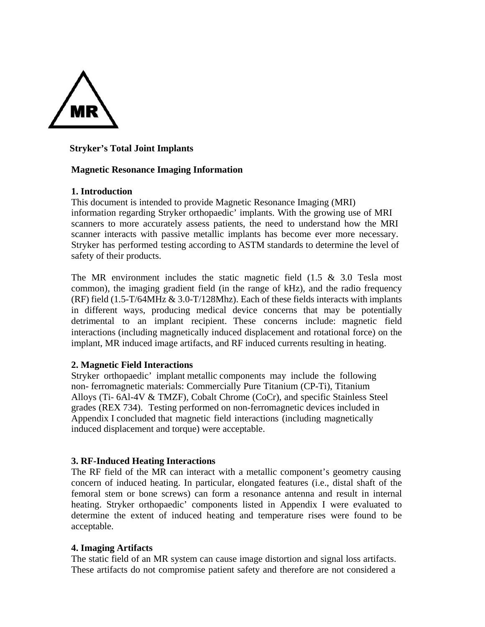

# **Stryker's Total Joint Implants**

### **Magnetic Resonance Imaging Information**

### **1. Introduction**

This document is intended to provide Magnetic Resonance Imaging (MRI) information regarding Stryker orthopaedic' implants. With the growing use of MRI scanners to more accurately assess patients, the need to understand how the MRI scanner interacts with passive metallic implants has become ever more necessary. Stryker has performed testing according to ASTM standards to determine the level of safety of their products.

The MR environment includes the static magnetic field  $(1.5 \& 3.0 \text{ Tesla most})$ common), the imaging gradient field (in the range of kHz), and the radio frequency (RF) field (1.5-T/64MHz & 3.0-T/128Mhz). Each of these fields interacts with implants in different ways, producing medical device concerns that may be potentially detrimental to an implant recipient. These concerns include: magnetic field interactions (including magnetically induced displacement and rotational force) on the implant, MR induced image artifacts, and RF induced currents resulting in heating.

### **2. Magnetic Field Interactions**

Stryker orthopaedic' implant metallic components may include the following non- ferromagnetic materials: Commercially Pure Titanium (CP-Ti), Titanium Alloys (Ti- 6Al-4V & TMZF), Cobalt Chrome (CoCr), and specific Stainless Steel grades (REX 734). Testing performed on non-ferromagnetic devices included in Appendix I concluded that magnetic field interactions (including magnetically induced displacement and torque) were acceptable.

### **3. RF-Induced Heating Interactions**

The RF field of the MR can interact with a metallic component's geometry causing concern of induced heating. In particular, elongated features (i.e., distal shaft of the femoral stem or bone screws) can form a resonance antenna and result in internal heating. Stryker orthopaedic' components listed in Appendix I were evaluated to determine the extent of induced heating and temperature rises were found to be acceptable.

#### **4. Imaging Artifacts**

The static field of an MR system can cause image distortion and signal loss artifacts. These artifacts do not compromise patient safety and therefore are not considered a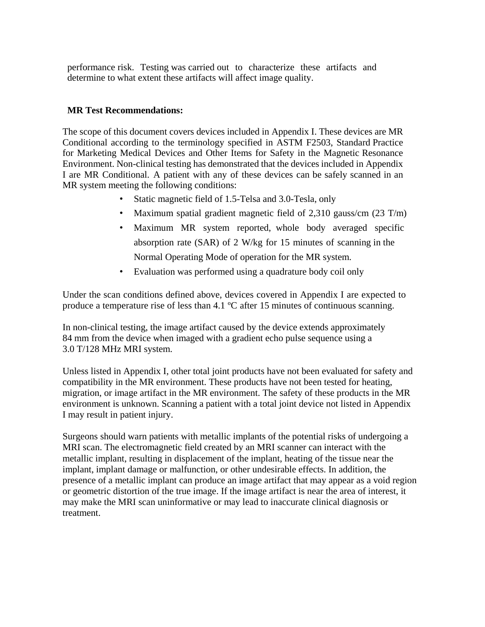performance risk. Testing was carried out to characterize these artifacts and determine to what extent these artifacts will affect image quality.

# **MR Test Recommendations:**

The scope of this document covers devices included in Appendix I. These devices are MR Conditional according to the terminology specified in ASTM F2503, Standard Practice for Marketing Medical Devices and Other Items for Safety in the Magnetic Resonance Environment. Non-clinical testing has demonstrated that the devices included in Appendix I are MR Conditional. A patient with any of these devices can be safely scanned in an MR system meeting the following conditions:

- Static magnetic field of 1.5-Telsa and 3.0-Tesla, only
- Maximum spatial gradient magnetic field of 2,310 gauss/cm (23 T/m)
- Maximum MR system reported, whole body averaged specific absorption rate (SAR) of 2 W/kg for 15 minutes of scanning in the Normal Operating Mode of operation for the MR system.
- Evaluation was performed using a quadrature body coil only

Under the scan conditions defined above, devices covered in Appendix I are expected to produce a temperature rise of less than 4.1 ºC after 15 minutes of continuous scanning.

In non-clinical testing, the image artifact caused by the device extends approximately 84 mm from the device when imaged with a gradient echo pulse sequence using a 3.0 T/128 MHz MRI system.

Unless listed in Appendix I, other total joint products have not been evaluated for safety and compatibility in the MR environment. These products have not been tested for heating, migration, or image artifact in the MR environment. The safety of these products in the MR environment is unknown. Scanning a patient with a total joint device not listed in Appendix I may result in patient injury.

Surgeons should warn patients with metallic implants of the potential risks of undergoing a MRI scan. The electromagnetic field created by an MRI scanner can interact with the metallic implant, resulting in displacement of the implant, heating of the tissue near the implant, implant damage or malfunction, or other undesirable effects. In addition, the presence of a metallic implant can produce an image artifact that may appear as a void region or geometric distortion of the true image. If the image artifact is near the area of interest, it may make the MRI scan uninformative or may lead to inaccurate clinical diagnosis or treatment.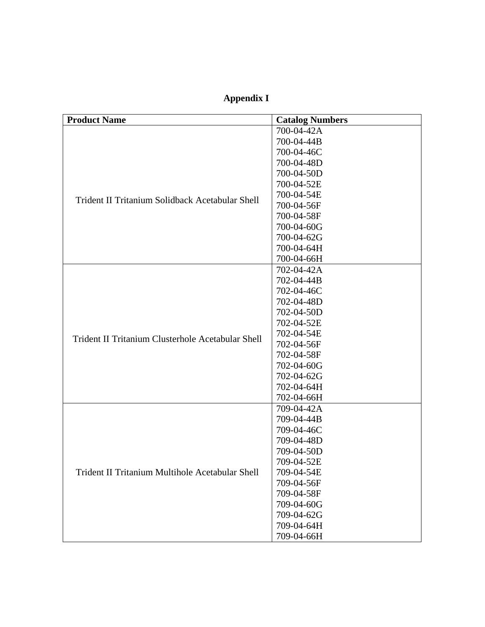**Appendix I**

| <b>Product Name</b>                                                                                  | <b>Catalog Numbers</b> |
|------------------------------------------------------------------------------------------------------|------------------------|
| Trident II Tritanium Solidback Acetabular Shell<br>Trident II Tritanium Clusterhole Acetabular Shell | 700-04-42A             |
|                                                                                                      | 700-04-44B             |
|                                                                                                      | 700-04-46C             |
|                                                                                                      | 700-04-48D             |
|                                                                                                      | 700-04-50D             |
|                                                                                                      | 700-04-52E             |
|                                                                                                      | 700-04-54E             |
|                                                                                                      | 700-04-56F             |
|                                                                                                      | 700-04-58F             |
|                                                                                                      | 700-04-60G             |
|                                                                                                      | 700-04-62G             |
|                                                                                                      | 700-04-64H             |
|                                                                                                      | 700-04-66H             |
|                                                                                                      | 702-04-42A             |
|                                                                                                      | 702-04-44B             |
|                                                                                                      | 702-04-46C             |
|                                                                                                      | 702-04-48D             |
|                                                                                                      | 702-04-50D             |
|                                                                                                      | 702-04-52E             |
|                                                                                                      | 702-04-54E             |
|                                                                                                      | 702-04-56F             |
|                                                                                                      | 702-04-58F             |
|                                                                                                      | 702-04-60G             |
|                                                                                                      | 702-04-62G             |
|                                                                                                      | 702-04-64H             |
|                                                                                                      | 702-04-66H             |
| Trident II Tritanium Multihole Acetabular Shell                                                      | 709-04-42A             |
|                                                                                                      | 709-04-44B             |
|                                                                                                      | 709-04-46C             |
|                                                                                                      | 709-04-48D             |
|                                                                                                      | 709-04-50D             |
|                                                                                                      | 709-04-52E             |
|                                                                                                      | 709-04-54E             |
|                                                                                                      | 709-04-56F             |
|                                                                                                      | 709-04-58F             |
|                                                                                                      | 709-04-60G             |
|                                                                                                      | 709-04-62G             |
|                                                                                                      | 709-04-64H             |
|                                                                                                      | 709-04-66H             |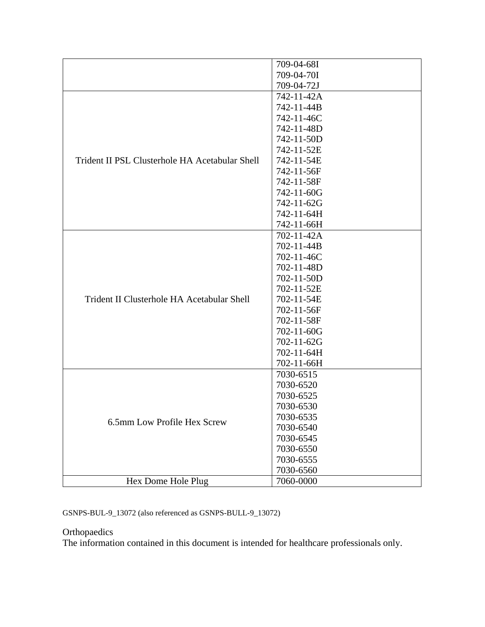|                                                | 709-04-68I |
|------------------------------------------------|------------|
|                                                | 709-04-70I |
|                                                | 709-04-72J |
| Trident II PSL Clusterhole HA Acetabular Shell | 742-11-42A |
|                                                | 742-11-44B |
|                                                | 742-11-46C |
|                                                |            |
|                                                | 742-11-48D |
|                                                | 742-11-50D |
|                                                | 742-11-52E |
|                                                | 742-11-54E |
|                                                | 742-11-56F |
|                                                | 742-11-58F |
|                                                | 742-11-60G |
|                                                | 742-11-62G |
|                                                | 742-11-64H |
|                                                | 742-11-66H |
|                                                | 702-11-42A |
|                                                | 702-11-44B |
|                                                | 702-11-46C |
| Trident II Clusterhole HA Acetabular Shell     | 702-11-48D |
|                                                | 702-11-50D |
|                                                | 702-11-52E |
|                                                | 702-11-54E |
|                                                | 702-11-56F |
|                                                | 702-11-58F |
|                                                | 702-11-60G |
|                                                | 702-11-62G |
|                                                | 702-11-64H |
|                                                | 702-11-66H |
| 6.5mm Low Profile Hex Screw                    | 7030-6515  |
|                                                | 7030-6520  |
|                                                | 7030-6525  |
|                                                | 7030-6530  |
|                                                | 7030-6535  |
|                                                | 7030-6540  |
|                                                | 7030-6545  |
|                                                | 7030-6550  |
|                                                | 7030-6555  |
|                                                | 7030-6560  |
| Hex Dome Hole Plug                             | 7060-0000  |

GSNPS-BUL-9\_13072 (also referenced as GSNPS-BULL-9\_13072)

# **Orthopaedics**

The information contained in this document is intended for healthcare professionals only.